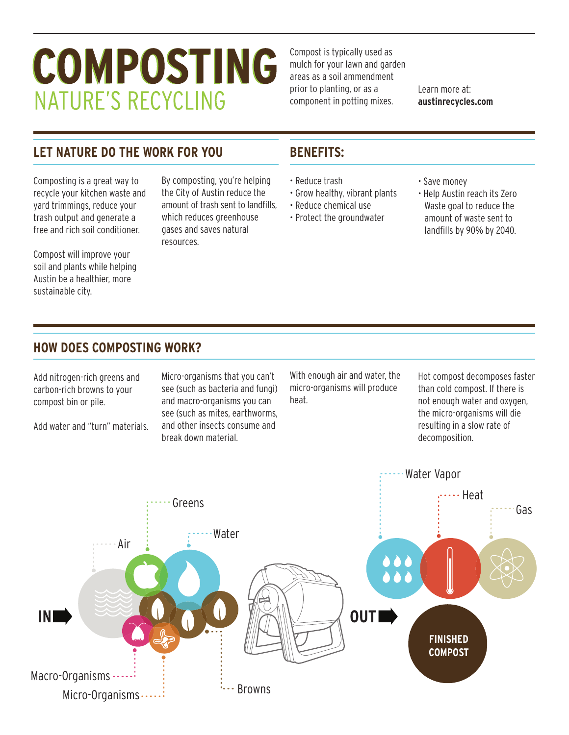# COMPOSTING **NATURE'S RECYCLING**

Compost is typically used as mulch for your lawn and garden areas as a soil ammendment prior to planting, or as a component in potting mixes.

Learn more at: **austinrecycles.com**

# **LET NATURE DO THE WORK FOR YOU BENEFITS:**

Composting is a great way to recycle your kitchen waste and yard trimmings, reduce your trash output and generate a free and rich soil conditioner.

Compost will improve your soil and plants while helping Austin be a healthier, more sustainable city.

By composting, you're helping the City of Austin reduce the amount of trash sent to landfills, which reduces greenhouse gases and saves natural resources.

- Reduce trash
- Grow healthy, vibrant plants
- Reduce chemical use • Protect the groundwater
- Save money
- Help Austin reach its Zero Waste goal to reduce the amount of waste sent to landfills by 90% by 2040.

### **HOW DOES COMPOSTING WORK?**

Add nitrogen-rich greens and carbon-rich browns to your compost bin or pile.

Add water and "turn" materials.

Micro-organisms that you can't see (such as bacteria and fungi) and macro-organisms you can see (such as mites, earthworms, and other insects consume and break down material.

With enough air and water, the micro-organisms will produce heat.

Hot compost decomposes faster than cold compost. If there is not enough water and oxygen, the micro-organisms will die resulting in a slow rate of decomposition.

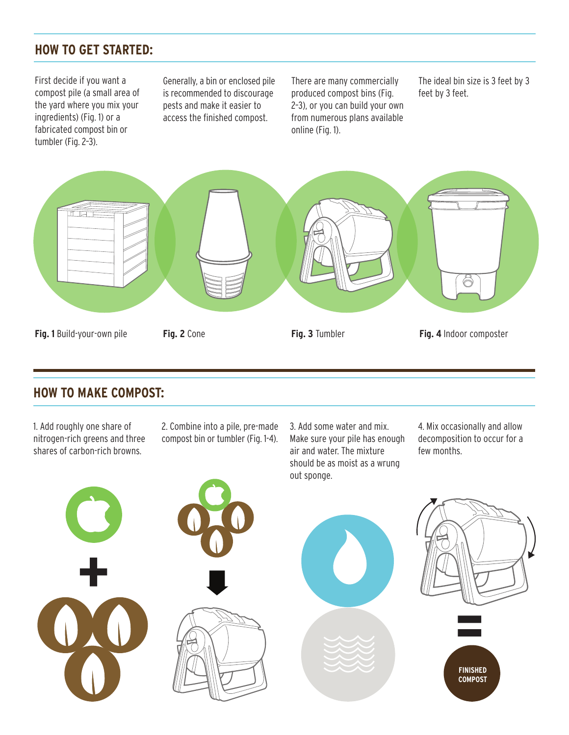# **HOW TO GET STARTED:**

First decide if you want a compost pile (a small area of the yard where you mix your ingredients) (Fig. 1) or a fabricated compost bin or tumbler (Fig. 2–3).

Generally, a bin or enclosed pile is recommended to discourage pests and make it easier to access the finished compost.

There are many commercially produced compost bins (Fig. 2–3), or you can build your own from numerous plans available online (Fig. 1).

The ideal bin size is 3 feet by 3 feet by 3 feet.



### **HOW TO MAKE COMPOST:**

1. Add roughly one share of nitrogen-rich greens and three shares of carbon-rich browns.

2. Combine into a pile, pre-made compost bin or tumbler (Fig. 1-4). 3. Add some water and mix. Make sure your pile has enough air and water. The mixture should be as moist as a wrung

4. Mix occasionally and allow decomposition to occur for a few months.

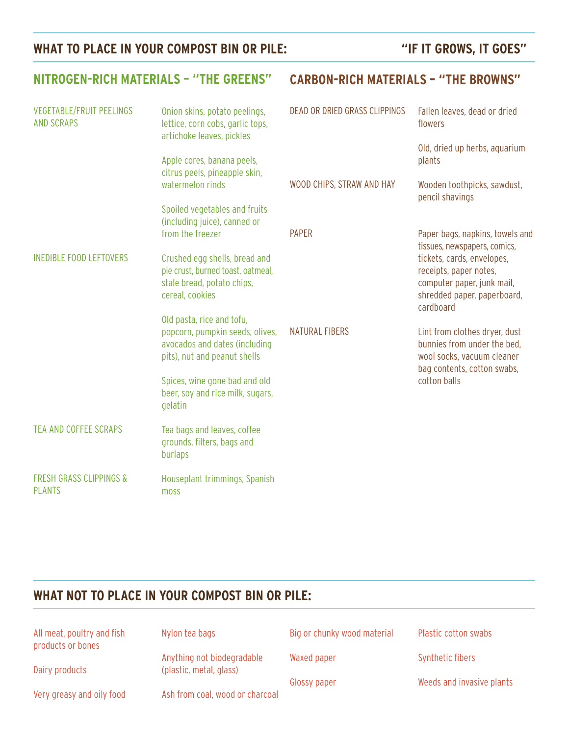# WHAT TO PLACE IN YOUR COMPOST BIN OR PILE: "IF IT GROWS, IT GOES"

| <b>NITROGEN-RICH MATERIALS - "THE GREENS"</b>        |                                                                                                                               | <b>CARBON-RICH MATERIALS - "THE BROWNS"</b> |                                                                                                                                |
|------------------------------------------------------|-------------------------------------------------------------------------------------------------------------------------------|---------------------------------------------|--------------------------------------------------------------------------------------------------------------------------------|
| <b>VEGETABLE/FRUIT PEELINGS</b><br><b>AND SCRAPS</b> | Onion skins, potato peelings,<br>lettice, corn cobs, garlic tops,<br>artichoke leaves, pickles                                | DEAD OR DRIED GRASS CLIPPINGS               | Fallen leaves, dead or dried<br>flowers<br>Old, dried up herbs, aquarium                                                       |
|                                                      | Apple cores, banana peels,<br>citrus peels, pineapple skin,                                                                   |                                             | plants                                                                                                                         |
|                                                      | watermelon rinds<br>Spoiled vegetables and fruits                                                                             | WOOD CHIPS, STRAW AND HAY                   | Wooden toothpicks, sawdust,<br>pencil shavings                                                                                 |
|                                                      | (including juice), canned or<br>from the freezer                                                                              | <b>PAPER</b>                                | Paper bags, napkins, towels and<br>tissues, newspapers, comics,                                                                |
| <b>INEDIBLE FOOD LEFTOVERS</b>                       | Crushed egg shells, bread and<br>pie crust, burned toast, oatmeal,<br>stale bread, potato chips,<br>cereal, cookies           |                                             | tickets, cards, envelopes,<br>receipts, paper notes,<br>computer paper, junk mail,<br>shredded paper, paperboard,<br>cardboard |
|                                                      | Old pasta, rice and tofu,<br>popcorn, pumpkin seeds, olives,<br>avocados and dates (including<br>pits), nut and peanut shells | <b>NATURAL FIBERS</b>                       | Lint from clothes dryer, dust<br>bunnies from under the bed.<br>wool socks, vacuum cleaner<br>bag contents, cotton swabs,      |
|                                                      | Spices, wine gone bad and old<br>beer, soy and rice milk, sugars,<br>gelatin                                                  |                                             | cotton balls                                                                                                                   |
| <b>TEA AND COFFEE SCRAPS</b>                         | Tea bags and leaves, coffee<br>grounds, filters, bags and<br>burlaps                                                          |                                             |                                                                                                                                |
| <b>FRESH GRASS CLIPPINGS &amp;</b><br><b>PLANTS</b>  | Houseplant trimmings, Spanish<br>moss                                                                                         |                                             |                                                                                                                                |

# **WHAT NOT TO PLACE IN YOUR COMPOST BIN OR PILE:**

| All meat, poultry and fish<br>products or bones | Nylon tea bags                                        | Big or chunky wood material |
|-------------------------------------------------|-------------------------------------------------------|-----------------------------|
| Dairy products                                  | Anything not biodegradable<br>(plastic, metal, glass) | Waxed paper                 |
|                                                 |                                                       | Glossy paper                |
| Very greasy and oily food                       | Ash from coal, wood or charcoal                       |                             |

Plastic cotton swabs

Synthetic fibers

Weeds and invasive plants